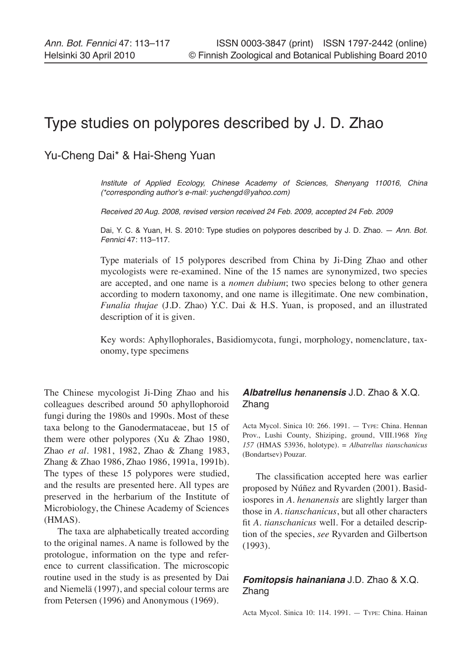# Type studies on polypores described by J. D. Zhao

# Yu-Cheng Dai\* & Hai-Sheng Yuan

Institute of Applied Ecology, Chinese Academy of Sciences, Shenyang 110016, China (\*corresponding author's e-mail: yuchengd@yahoo.com)

Received 20 Aug. 2008, revised version received 24 Feb. 2009, accepted 24 Feb. 2009

Dai, Y. C. & Yuan, H. S. 2010: Type studies on polypores described by J. D. Zhao. - Ann. Bot. Fennici 47: 113–117.

Type materials of 15 polypores described from China by Ji-Ding Zhao and other mycologists were re-examined. Nine of the 15 names are synonymized, two species are accepted, and one name is a *nomen dubium*; two species belong to other genera according to modern taxonomy, and one name is illegitimate. One new combination, *Funalia thujae* (J.D. Zhao) Y.C. Dai & H.S. Yuan, is proposed, and an illustrated description of it is given.

Key words: Aphyllophorales, Basidiomycota, fungi, morphology, nomenclature, taxonomy, type specimens

The Chinese mycologist Ji-Ding Zhao and his colleagues described around 50 aphyllophoroid fungi during the 1980s and 1990s. Most of these taxa belong to the Ganodermataceae, but 15 of them were other polypores (Xu & Zhao 1980, Zhao *et al*. 1981, 1982, Zhao & Zhang 1983, Zhang & Zhao 1986, Zhao 1986, 1991a, 1991b). The types of these 15 polypores were studied, and the results are presented here. All types are preserved in the herbarium of the Institute of Microbiology, the Chinese Academy of Sciences (HMAS).

The taxa are alphabetically treated according to the original names. A name is followed by the protologue, information on the type and reference to current classification. The microscopic routine used in the study is as presented by Dai and Niemelä (1997), and special colour terms are from Petersen (1996) and Anonymous (1969).

# **Albatrellus henanensis** J.D. Zhao & X.Q. Zhang

Acta Mycol. Sinica 10: 266. 1991. — Type: China. Hennan Prov., Lushi County, Shiziping, ground, VIII.1968 *Ying 157* (HMAS 53936, holotype). = *Albatrellus tianschanicus*  (Bondartsev) Pouzar.

The classification accepted here was earlier proposed by Núñez and Ryvarden (2001)*.* Basidiospores in *A. henanensis* are slightly larger than those in *A. tianschanicus*, but all other characters fit *A*. *tianschanicus* well. For a detailed description of the species, *see* Ryvarden and Gilbertson (1993).

# **Fomitopsis hainaniana** J.D. Zhao & X.Q. Zhang

Acta Mycol. Sinica 10: 114. 1991. — Type: China. Hainan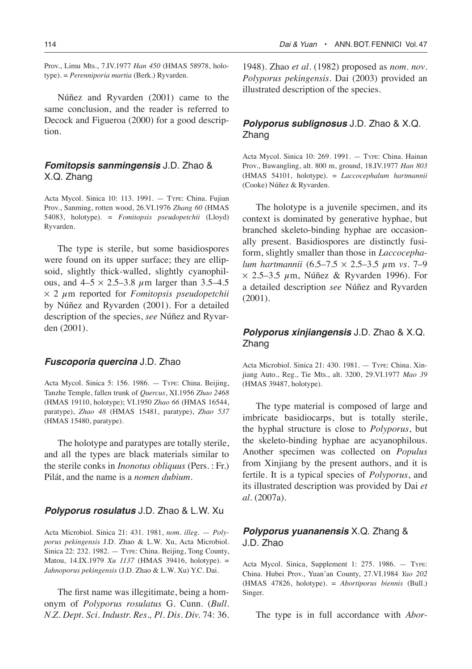Prov., Limu Mts., 7.IV.1977 *Han 450* (HMAS 58978, holotype). = *Perenniporia martia* (Berk.) Ryvarden.

Núñez and Ryvarden (2001) came to the same conclusion, and the reader is referred to Decock and Figueroa (2000) for a good description.

## **Fomitopsis sanmingensis** J.D. Zhao & X.Q. Zhang

Acta Mycol. Sinica 10: 113. 1991. — Type: China. Fujian Prov., Sanming, rotten wood, 26.VI.1976 *Zhang 60* (HMAS 54083, holotype). = *Fomitopsis pseudopetchii* (Lloyd) Ryvarden.

The type is sterile, but some basidiospores were found on its upper surface; they are ellipsoid, slightly thick-walled, slightly cyanophilous, and  $4-5 \times 2.5-3.8 \mu m$  larger than 3.5-4.5 ¥ 2 µm reported for *Fomitopsis pseudopetchii* by Núñez and Ryvarden (2001). For a detailed description of the species, *see* Núñez and Ryvarden (2001).

#### **Fuscoporia quercina** J.D. Zhao

Acta Mycol. Sinica 5: 156. 1986. — Type: China. Beijing, Tanzhe Temple, fallen trunk of *Quercus*, XI.1956 *Zhao 2468* (HMAS 19110, holotype); VI.1950 *Zhao 66* (HMAS 16544, paratype), *Zhao 48* (HMAS 15481, paratype), *Zhao 537* (HMAS 15480, paratype).

The holotype and paratypes are totally sterile, and all the types are black materials similar to the sterile conks in *Inonotus obliquus* (Pers. : Fr.) Pilát, and the name is a *nomen dubium*.

#### **Polyporus rosulatus** J.D. Zhao & L.W. Xu

Acta Microbiol. Sinica 21: 431. 1981, *nom. illeg*. — *Polyporus pekingensis* J.D. Zhao & L.W. Xu, Acta Microbiol. Sinica 22: 232. 1982. — Type: China. Beijing, Tong County, Matou, 14.IX.1979 *Xu 1137* (HMAS 39416, holotype). = *Jahnoporus pekingensis* (J.D. Zhao & L.W. Xu) Y.C. Dai.

The first name was illegitimate, being a homonym of *Polyporus rosulatus* G. Cunn. (*Bull. N.Z. Dept. Sci. Industr. Res., Pl. Dis. Div.* 74: 36.

1948). Zhao *et al*. (1982) proposed as *nom. nov*. *Polyporus pekingensis.* Dai (2003) provided an illustrated description of the species.

## **Polyporus sublignosus** J.D. Zhao & X.Q. Zhang

Acta Mycol. Sinica 10: 269. 1991. — Type: China. Hainan Prov., Bawangling, alt. 800 m, ground, 18.IV.1977 *Han 803* (HMAS 54101, holotype). = *Laccocephalum hartmannii*  (Cooke) Núñez & Ryvarden.

The holotype is a juvenile specimen, and its context is dominated by generative hyphae, but branched skeleto-binding hyphae are occasionally present. Basidiospores are distinctly fusiform, slightly smaller than those in *Laccocephalum hartmannii* (6.5–7.5 ¥ 2.5–3.5 µm *vs*. 7–9  $\times$  2.5–3.5  $\mu$ m, Núñez & Ryvarden 1996). For a detailed description *see* Núñez and Ryvarden (2001).

## **Polyporus xinjiangensis** J.D. Zhao & X.Q. Zhang

Acta Microbiol. Sinica 21: 430. 1981. — Type: China. Xinjiang Auto., Reg., Tie Mts., alt. 3200, 29.VI.1977 *Mao 39* (HMAS 39487, holotype).

The type material is composed of large and imbricate basidiocarps, but is totally sterile, the hyphal structure is close to *Polyporus*, but the skeleto-binding hyphae are acyanophilous. Another specimen was collected on *Populus*  from Xinjiang by the present authors, and it is fertile. It is a typical species of *Polyporus*, and its illustrated description was provided by Dai *et al*. (2007a).

# **Polyporus yuananensis** X.Q. Zhang & J.D. Zhao

Acta Mycol. Sinica, Supplement 1: 275. 1986. — Type: China. Hubei Prov., Yuan'an County, 27.VI.1984 *Yao 202* (HMAS 47826, holotype). = *Abortiporus biennis* (Bull.) Singer.

The type is in full accordance with *Abor-*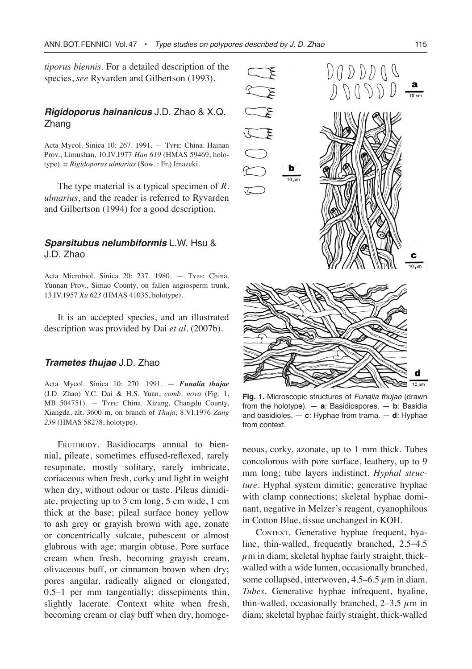*tiporus biennis*. For a detailed description of the species, *see* Ryvarden and Gilbertson (1993).

## **Rigidoporus hainanicus** J.D. Zhao & X.Q. Zhang

Acta Mycol. Sinica 10: 267. 1991. — Type: China. Hainan Prov., Limushan, 10.IV.1977 *Han 619* (HMAS 59469, holotype). = *Rigidoporus ulmarius* (Sow. : Fr.) Imazeki.

The type material is a typical specimen of *R. ulmarius*, and the reader is referred to Ryvarden and Gilbertson (1994) for a good description.

#### **Sparsitubus nelumbiformis** L.W. Hsu & J.D. Zhao

Acta Microbiol. Sinica 20: 237. 1980. — Type: China. Yunnan Prov., Simao County, on fallen angiosperm trunk, 13.IV.1957 *Xu 623* (HMAS 41035, holotype).

It is an accepted species, and an illustrated description was provided by Dai *et al*. (2007b).

#### **Trametes thujae** J.D. Zhao

Acta Mycol. Sinica 10: 270. 1991. — *Funalia thujae* (J.D. Zhao) Y.C. Dai & H.S. Yuan, *comb. nova* (Fig. 1, MB 504751). — Type: China. Xizang, Changdu County, Xiangda, alt. 3600 m, on branch of *Thuja*, 8.VI.1976 *Zang 239* (HMAS 58278, holotype).

FRUITBODY. Basidiocarps annual to biennial, pileate, sometimes effused-reflexed, rarely resupinate, mostly solitary, rarely imbricate, coriaceous when fresh, corky and light in weight when dry, without odour or taste. Pileus dimidiate, projecting up to 3 cm long, 5 cm wide, 1 cm thick at the base; pileal surface honey yellow to ash grey or grayish brown with age, zonate or concentrically sulcate, pubescent or almost glabrous with age; margin obtuse. Pore surface cream when fresh, becoming grayish cream, olivaceous buff, or cinnamon brown when dry; pores angular, radically aligned or elongated, 0.5–1 per mm tangentially; dissepiments thin, slightly lacerate. Context white when fresh, becoming cream or clay buff when dry, homoge-



**Fig. 1.** Microscopic structures of Funalia thujae (drawn from the holotype). — **a**: Basidiospores. — **b**: Basidia and basidioles. — **c**: Hyphae from trama. — **d**: Hyphae from context.

neous, corky, azonate, up to 1 mm thick. Tubes concolorous with pore surface, leathery, up to 9 mm long; tube layers indistinct. *Hyphal structure.* Hyphal system dimitic; generative hyphae with clamp connections; skeletal hyphae dominant, negative in Melzer's reagent, cyanophilous in Cotton Blue, tissue unchanged in KOH.

CONTEXT. Generative hyphae frequent, hyaline, thin-walled, frequently branched, 2.5–4.5  $\mu$ m in diam; skeletal hyphae fairly straight, thickwalled with a wide lumen, occasionally branched, some collapsed, interwoven,  $4.5-6.5 \mu$ m in diam. *Tubes.* Generative hyphae infrequent, hyaline, thin-walled, occasionally branched,  $2-3.5 \mu m$  in diam; skeletal hyphae fairly straight, thick-walled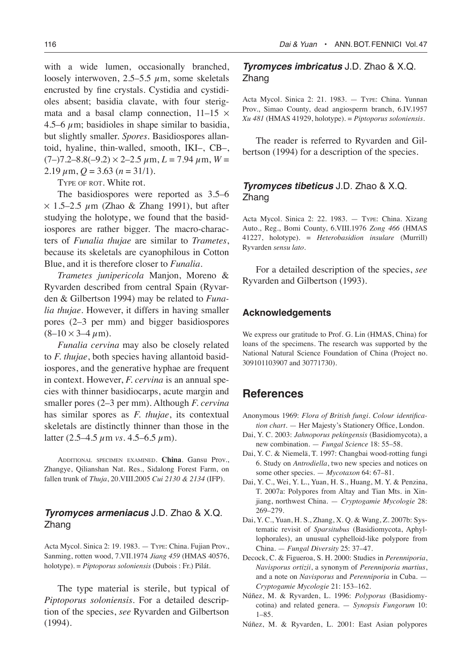with a wide lumen, occasionally branched, loosely interwoven, 2.5–5.5  $\mu$ m, some skeletals encrusted by fine crystals. Cystidia and cystidioles absent; basidia clavate, with four sterigmata and a basal clamp connection,  $11-15 \times$ 4.5–6  $\mu$ m; basidioles in shape similar to basidia, but slightly smaller. *Spores.* Basidiospores allantoid, hyaline, thin-walled, smooth, IKI–, CB–,

 $(7-)7.2-8.8(-9.2) \times 2-2.5 \mu \text{m}, L = 7.94 \mu \text{m}, W =$  $2.19 \mu \text{m}, Q = 3.63 \ (n = 31/1).$ 

TYPE OF ROT. White rot.

The basidiospores were reported as 3.5–6  $\times$  1.5–2.5  $\mu$ m (Zhao & Zhang 1991), but after studying the holotype, we found that the basidiospores are rather bigger. The macro-characters of *Funalia thujae* are similar to *Trametes*, because its skeletals are cyanophilous in Cotton Blue, and it is therefore closer to *Funalia*.

*Trametes junipericola* Manjon, Moreno & Ryvarden described from central Spain (Ryvarden & Gilbertson 1994) may be related to *Funalia thujae.* However, it differs in having smaller pores (2–3 per mm) and bigger basidiospores  $(8-10 \times 3-4 \,\mu m)$ .

*Funalia cervina* may also be closely related to *F. thujae*, both species having allantoid basidiospores, and the generative hyphae are frequent in context. However, *F. cervina* is an annual species with thinner basidiocarps, acute margin and smaller pores (2–3 per mm). Although *F. cervina* has similar spores as *F. thujae*, its contextual skeletals are distinctly thinner than those in the latter  $(2.5-4.5 \mu m \nu s. 4.5-6.5 \mu m)$ .

Additional specimen examined. **China**. Gansu Prov., Zhangye, Qilianshan Nat. Res., Sidalong Forest Farm, on fallen trunk of *Thuja*, 20.VIII.2005 *Cui 2130 & 2134* (IFP).

## **Tyromyces armeniacus** J.D. Zhao & X.Q. Zhang

Acta Mycol. Sinica 2: 19. 1983. — Type: China. Fujian Prov., Sanming, rotten wood, 7.VII.1974 *Jiang 459* (HMAS 40576, holotype). = *Piptoporus soloniensis* (Dubois : Fr.) Pilát.

The type material is sterile, but typical of *Piptoporus soloniensis*. For a detailed description of the species, *see* Ryvarden and Gilbertson (1994).

#### 116 **Dai & Yuan • ANN.BOT.FENNICI Vol.47**

### **Tyromyces imbricatus** J.D. Zhao & X.Q. Zhang

Acta Mycol. Sinica 2: 21. 1983. — Type: China. Yunnan Prov., Simao County, dead angiosperm branch, 6.IV.1957 *Xu 481* (HMAS 41929, holotype). = *Piptoporus soloniensis*.

The reader is referred to Ryvarden and Gilbertson (1994) for a description of the species.

## **Tyromyces tibeticus** J.D. Zhao & X.Q. Zhang

Acta Mycol. Sinica 2: 22. 1983. — Type: China. Xizang Auto., Reg., Bomi County, 6.VIII.1976 *Zong 466* (HMAS 41227, holotype). = *Heterobasidion insulare* (Murrill) Ryvarden *sensu lato.*

For a detailed description of the species, *see* Ryvarden and Gilbertson (1993).

#### **Acknowledgements**

We express our gratitude to Prof. G. Lin (HMAS, China) for loans of the specimens. The research was supported by the National Natural Science Foundation of China (Project no. 309101103907 and 30771730).

# **References**

- Anonymous 1969: *Flora of British fungi. Colour identification chart*. — Her Majesty's Stationery Office, London.
- Dai, Y. C. 2003: *Jahnoporus pekingensis* (Basidiomycota), a new combination. — *Fungal Science* 18: 55–58.
- Dai, Y. C. & Niemelä, T. 1997: Changbai wood-rotting fungi 6. Study on *Antrodiella*, two new species and notices on some other species. — *Mycotaxon* 64: 67–81.
- Dai, Y. C., Wei, Y. L., Yuan, H. S., Huang, M. Y. & Penzina, T. 2007a: Polypores from Altay and Tian Mts. in Xinjiang, northwest China. — *Cryptogamie Mycologie* 28: 269–279.
- Dai, Y. C., Yuan, H. S., Zhang, X. Q. & Wang, Z. 2007b: Systematic revisit of *Sparsitubus* (Basidiomycota, Aphyllophorales), an unusual cyphelloid-like polypore from China. — *Fungal Diversity* 25: 37–47.
- Decock, C. & Figueroa, S. H. 2000: Studies in *Perenniporia*, *Navisporus ortizii*, a synonym of *Perenniporia martius*, and a note on *Navisporus* and *Perenniporia* in Cuba. — *Cryptogamie Mycologie* 21: 153–162.
- Núñez, M. & Ryvarden, L. 1996: *Polyporus* (Basidiomycotina) and related genera. — *Synopsis Fungorum* 10: 1–85.
- Núñez, M. & Ryvarden, L. 2001: East Asian polypores